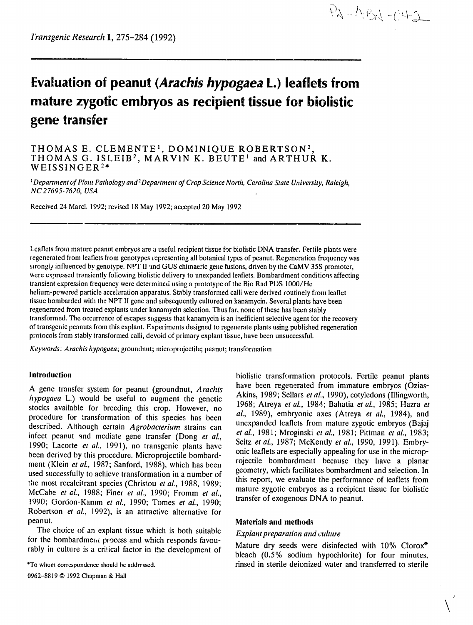$PA - ABA - O42$ 

# **Evaluation of peanut** *(Arachis hypogaea* **L.) leaflets from mature zygotic embryos as recipient tissue for biolistic gene transfer**

# THOMAS E. CLEMENTE<sup>1</sup>, DOMINIQUE ROBERTSON<sup>2</sup>, THOMAS G. ISLEIB<sup>2</sup>, MARVIN K. BEUTE<sup>1</sup> and ARTHUR K. WEISSINGER<sup>2\*</sup>

*IDepartmentof Plant*Pathology *and<sup>2</sup> Departmentof CropScience North, CarolinaState University, Raleigh, NC 27695-7620,USA* 

Received 24 Marct. 1992; revised 18 May 1992; accepted 20 May 1992

Leaflets from mature peanut embryos are a useful recipient tissue for biolistic DNA transfer. Fertile plants were regenerated from leaflets from genotypes representing all botanical types of peanut. Regeneration frequency was strongly influenced by genotype. **NPT** II 'nd GUS chimaeric gene fusions, driven by the CaMV 35S promoter, were expressed transiently following biolistic delivery to unexpanded leaflets. Bombardment conditions affecting transient expression frequency were determined using a prototype of the Bio Rad PDS 1000/He helium-pcwered particle acceleration apparatus. Stably transformed calli were derived routinely from leaflet tissue bombarded with the NPT II gene and subsequently cultured on kanamycin. Several plants have been regenerated from treated explants under kanamycin selection. Thus far, none of these has been stably transformed. The occurrence of escapes suggests that kanamycin is an inefficient selective agent for the recovery of transgenic peanuts from this explant. Experiments designed to regenerate plants using published regeneration protocols from stably transformed calli, devoid of primary explant tissue, have been unsuccessful.

*Keywords: Arachis hypogaea;*groundnut; microprojectile; peanut; transfonnation

### **Introduction**

**A** gene transfer system for peanut (groundnut, *Arachis*  hypogaea L.) would be useful to augment the genetic stocks available for breeding this crop. However, no procedure for transformation of this species has been described. Although certain *Agrobacterium* strains can infect peanut and mediate gene transfer (Dong *et al.,*  **1990;** Lacorte *et al.,* **1991),** no transgenic plants have been derived **by** this procedure. Microprojectile bombardment (Klein *et al.,* 1987; Sanford, 1988), which has been used successfully to achieve transformation in a number of the most recalcitrant species (Christou *et al.,* 1988, 1989; McCabe *et at.,* **1988;** Finer *et* at, **1990;** Fromm *et* a., 1990; Gordon-Kamm *et aL,* 1990; Tomes *et al,* 1990; Robertson *et al.,* 1992), is an attractive alternative for peanut.

The choice of an explant tissue which is both suitable for the bombardment process and which responds favourably in culture is a critical factor in the development of

\*To whom correspondence should be addressed,

0962-8819 © 1992 Chapman & Hall

biolistic transformation protocols. Fertile peanut plants have been regenerated from immature embryos (Ozias-Akins, 1989; Sellars et al., 1990), cotyledons (Illingworth, Akins, 1989; Sellars *et al.,* 1990), cotyledons (Illingworth, 1968; Atreya *et at.,* 1984; Bahatia *et at.,* 1985; Hazra *et* **<sup>1989</sup>**Atreya *et at.,* **1984)** and *al.,* **1989),** embryonic axes (Atreya *et al.,* 1984), and unexpanded leaflets from mature zygotic embryos (Bajaj *et a.,* **1981;** Mroginski *et at,* **1981;** Pittman *et al, 1983;*  Seitz *et al.,* 1987; McKently *et al.,* 1990, 1991). Embryonic leaflets are especially appealing for use in the microprojectile bombardment because they have a planar geometry, which facilitates bombardment and selection. In this report, we evaluate the performance of leaflets from mature zygotic embryos as a recipient tissue for biolistic transfer of exogenous **DNA** to peanut.

### Materials and methods

### *Explant preparation and culture*

Mature dry seeds were disinfected with **10%** Clorox mature dry seeds were disinfected with 10% Clorox<sup>\*</sup> bleach (0.5% sodium hypochlorite) for four minutes, rinsed in sterile deionized water and transferred to sterile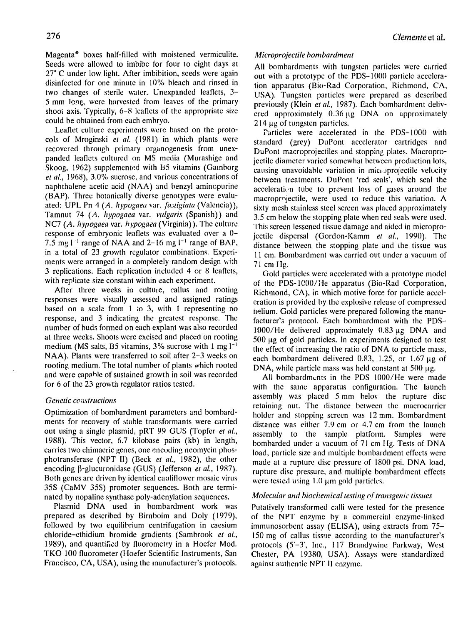Magenta<sup>®</sup> boxes half-filled with moistened vermiculite. Seeds were allowed to imbibe for four to eight days at 27<sup>°</sup> C under low light. After imbibition, seeds were again disinfected for one minute in **10%** bleach and rinsed in two changes of sterile water. Unexpanded leaflets, **3-** 5 mm long, were harvested from leaves of the primary shoot axis. Typically,  $6-8$  leaflets of the appropriate size could be obtained from each embryo.

Leaflet culture experiments were based on the protocols of Mroginski *et al.* (1981) in which plants were recovered through primary organogenesis from unexpanded leaflets cultured on MS media (Murashige and Skoog, 1962) supplemented with B5 vitamins (Gainborg *et aL,* 1968), 3.0% sucrose, and various concentrations of naphthalene acetic acid (NAA) and benzyl aminopurine (BAP). Three botanically diverse genotypes were evaluated: UPL Pn 4 *(A. hypogaea* var. *fastigiata*(Valencia)), Tamnut 74 *(A. Iypogaea* var. *vulgaris* (Spanish)) and NC7 *(A. hypogaea*var. *hypogaea* (Virginia)). The culture response of embryonic leaflets was evaluated over a 0- **-** 7.5 mg **1 1**range of NAA and 2-16 mg **I-** range of BAP, in a total of 23 growth regulator combinations. Experiments were arranged in a completely random design with 3 replications. Each replication included 4 or 8 leaflets, with replicate size constant within each experiment,

After three weeks in culture, callus and rooting responses were visually assessed and assigned ratings based on a scale from **I** to 3, with 1 representing no response, and 3 indicating the greatest response. The number of buds formed on each explant was also recorded at three weeks. Shoots were excised and placed on rooting medium **(MS salts, B5 vitamins, 3% sucrose with 1 mg**  $I^{-1}$ **)** NAA). Plants were transferred to soil after 2-3 weeks on rooting medium. The total number of plants which rooted and were capahle of sustained growth in soil was recorded for 6 of the 23 growth regulator ratios tested.

## *Genetic constructions*

Optimization of bombardment parameters and bombardments for recovery of stable transformants were carried out using a single plasmid, pRT 99 GUS (Topfer *et al.,*  1988). This vector, 6.7 kilobase pairs (kb) in length, carries two chimaeric genes, one encoding neomycin phosphotransferase (NPT II) (Beck *et al.,* 1982), the other encoding β-glucuronidase (GUS) (Jefferson *et al.*, 1987). Both genes are driven by identical cauliflower mosaic virus 35S (CaMV 35S) promoter sequences. Both are terminated by nopaline synthase poly-adenylation sequences.

Plasmid DNA used in bombardment work was prepared as described by Birnboim and Doly (1979), followed by two equilibrium centrifugation in caesium chloride-ethidium bromide gradients (Sambrook *et al.,*  1989), and quantified by fluorometry in a Hoefer Mod. TKO 100 fluorometer (Hoefer Scientific Instruments, San Francisco, CA, USA), using the manufacturer's piotocols.

### Clemente et al.

### *Microprojectilebombardment*

All bombardments with tungsten particles were carried out with a prototype of the PDS-1000 particle acceleration apparatus (Bio-Rad Corporation, Richmond, CA, USA). Tungsten particles were prepared as described previously (Klein *et aL,* 1987). Each bombardment delivered approximately  $0.36 \mu$ g DNA on approximately  $214 \mu$ g of tungsten particles.

Particles were accelerated in the PDS-1000 with standard (grey) DuPont accelerator cartridges and DuPont macroprojectiles and stopping plates. Macroprojectile diameter varied somewhat between production lots, causing unavoidable variation in micioprojectile velocity between treatments. DuPont 'red seals', which seal the acceleration tube to prevent loss of gases around the macroprojectile, were used to reduce this variation. A sixty mesh stainless steel screen was placed approximately 3.5 cm below the stopping plate when red seals were used. This screen lessened tissue damage and aided in microprojectile dispersal (Gordon-Kamm *et aL,* 1990). The distance between the stopping plate and the tissue was 11 cm. Bombardment was carried out under a vacuum of 71 cm Hg.

Gold particles were accelerated with a prototype model of the PDS-1000/He apparatus (Bio-Rad Corporation, Richmond, CA), in which motive force for particle acceleration is provided by the explosive release of compressed helium. Gold particles were prepared following the manufacturer's protocol. Each bombardment with the PDS-1000/He delivered approximately  $0.83 \mu$ g DNA and 500 µg of gold particles. In experiments designed to test the effect of increasing the ratio of DNA to particle mass, each bombardment delivered 0.83, 1.25, or 1.67  $\mu$ g of DNA, while particle mass was held constant at 500 μg.

All bombardments in the PDS 1000/He were made with the same apparatus configuration. The launch assembly was placed 5 mm belov the rupture disc retaining nut. The distance between the macrocarrier holder and stopping screen was 12 mm. Bombardment distance was either 7.9 cm or 4.7 cm from the launch assembly to the sample platform. Samples were bombarded under a vacuum of 71 cm Hg. Tests of DNA load, particle size and multiple bombardment effects were made at a rupture disc pressure of 1800 psi. DNA load, rupture disc pressure, and multiple bombardment effects were tested using  $1.0 \mu m$  gold particles.

### *Molecular and biochemical testing of transgenic tissues*

Putatively transformed calli were tested for the presence of the NPT enzyme by a commercial enzyme-linked immunosorbent assay (ELISA), using extracts from 75 150 mg of callus tissue according to the manufacturer's protocols (5'-3', Inc., 117 Brandywine Parkway, West Chester, PA 19380, USA). Assays were standardized against authentic NPT **1I**enzyme.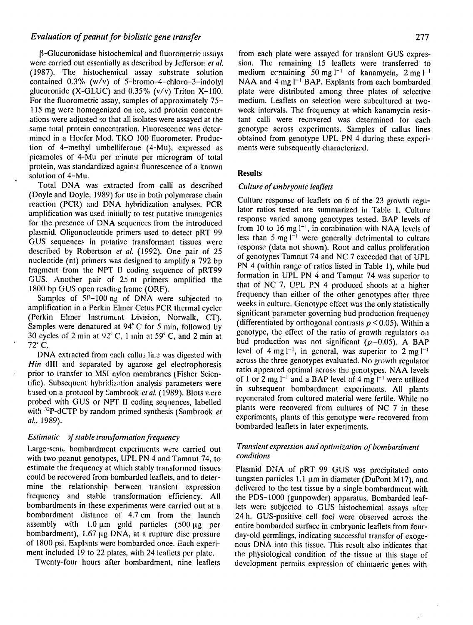### *Evaluation of peanut for biolistic gene transfer Evaluation of peanut for biolistic gene transfer* **<b>277**

were carried out essentially as described by Jefferson *et al.* sion. The remaining 15 leaflets were transferred to (1987). The histochemical assay substrate solution medium containing 50 mg  $l^{-1}$  of kanamycin, 2 mg  $l^{-1$ contained  $0.3\%$  (w/v) of 5-bromo-4-chloro-3-indolyl glucuronide (X-GLUC) and  $0.35\%$  (v/v) Triton X-100. For the fluorometric assay, samples of approximately 75- medium. Leaflets on selection were subcultured at two-115 mg were homogenized on ice, and protein concentr-<br>week intervals. The frequency at which kanamycin resisations were adjusted so that all isolates were assayed at the tant calli were recovered was determined for each same total protein concentration. Fluorescence was deter- genotype across experiments. Samples of callus lines mined in a Hoefer Mod. TKO **100** fluorometer. Produc- obtained from genotype UPL PN 4 during these experition of 4-methyl umbelliferone (4-Mu), expressed as ments were subsequently characterized. picamoles of 4-Mu per minute per microgram of total protein, was standardized against fluorescence of a known solution of 4-Mu. **Results** 

Total DNA was extracted from calli as described *Culture of embryonic leaflets* (Doyle and Doyle, 1989) for use in both polymerase chain Culture response of leaflets on **6** of the **23** growth regureaction (PCR) and DNA hybridization analyses. PCR<br>and lator ratios tested are summarized in Table 1. Culture<br>analitiestics was used initially to test putative transposites amplification was used initially to test putative transgenics for the presence of DNA sequences from the introduced<br>plasmid. Oligonucleotide primers used to detect  $pRT 99$  from 10 to 16 mg  $1^{-1}$ , in combination with NAA levels of plasmid. Oligonucleotide primers used to detect pRT  $\frac{32}{2}$  less than 5 mg l<sup>-1</sup> were generally detrimental to culture GUS sequences in putative transformant tissues were described by Robertson et al. (1992). One pair of 25<br>nucleotide (nt) primers was designed to amplify a 792 bp fragment from the NPT II coding sequence of pRT99 GUS. Another pair of 25 nt primers amplified the GUS. Another pair of 25 nt primers amplified the formation in OPE PN 4 and Tainflut 74 was superior to that of NC 7. UPL PN 4 produced shoots at a higher 1800 bp GUS open reading frame (ORF).

(Perkin Elmer Instrumcnt Division, Norwalk, **CT).** significant parameter governing bud production frequency Samples were denatured at  $94^{\circ}$  C for 5 min, followed by (differentiated by orthogonal contrasts  $p \le 0.05$ ). Within a genotype, the effect of the ratio of growth regulators on 30 cycles of 2 min at  $92^{\circ}$  C, 1 min at 59° C, and 2 min at

*Hin* dIII and separated by agarose gel electrophoresis across the three genotypes evaluated. No growth regulator regulator regulator ratio appeared optimal across the genotypes. NAA levels prior to transfer to MSI nylon membranes (Fisher Scientific). Subsequent hybridization analysis parameters were<br>tific). Subsequent hybridization analysis parameters were of 1 or 2 mg l<sup>-1</sup> and a BAP level of 4 mg l<sup>-1</sup> we based on a protocol by Sambrook et al. (1989). Blots were probed with GUS or NPT II coding sequences, labelled regenerated from cultured material were fertile. While no<br>with 32B-dCTB by random primed synthosis (Sambasek at plants were recovered from cultures of NC 7 in these with <sup>32</sup>P-dCTP by random primed synthesis (Sambrook *et* al., 1989).<br>al., 1989).

### *Estimatic of stable transformation frequency*

with two peanut genotypes, UPL PN 4 and Tamnut 74, to estimate the frequency at which stably transformed tissues Plasmid DNA of pRT 99 GUS was precipitated onto could be recovered from bombarded leaflets, and to deter-<br>tungsten particles 1.1  $\mu$ m in diameter (DuPont M17), and mine the relationship between transient expression delivered to the test tissue by a single bombardment with frequency and stable transformation efficiency. All the PDS-1000 (gunpowder) apparatus. Bombarded leafbombardments in these experiments were carried out at a lets were subjected to GUS histochemical assays after bombardment distance of 4.7 cm from the launch 24 h. GUS-positive cell foci were observed across the assembly with 1.0  $\mu$ m gold particles (500  $\mu$ g per entire bombarded surface in embryonic leaflets from fourbombardment), 1.67 µg DNA, at a rupture disc pressure day-old germlings, indicating successful transfer of exogeof 1800 psi. Explants were bombarded once. Each experi- nous DNA into this tissue. This result also indicates that

P-Glucuronidase histochemical and fluorometric assays from each plate were assayed for transient GUS expres-NAA and 4 mg l<sup>-1</sup> BAP. Explants from each bombarded plate were distributed among three plates of selective

from 10 to 16 mg  $l^{-1}$ , in combination with NAA levels of formation in UPL PN 4 and Tamnut 74 was superior to PN 4 (within range of ratios listed in Table 1), while bud Samples of 50–100 ng of DNA were subjected to<br>amplification in a Perkin Elmer Cetus PCR thermal cycler<br>(Perkin Elmer Little PCR) statistically significant parameter governing bud production frequency  $72^{\circ}$  C.<br>72<sup>o</sup> C.<br>DNA extracted from each cally it a used isosted with level of 4 mg l<sup>-1</sup>, in general, was superior to 2 mg l<sup>-1</sup> DNA extracted from each callus line was digested with level of 4 mg **i**  $\cdot$ , in general, was superior to 2 mg i <sup>1</sup> across the three general, was superior to 2 mg i <sup>1</sup> bombarded leaflets in later experiments.

# Large-scale bombardment experiments were carried out *Transient expression and optimization of bombardment* with two peanut genotypes **LIPL PN 4 and Tamput 74** to conditions

ment included 19 to 22 plates, with 24 leaflets per plate. the physiological condition of the tissue at this stage of Twenty-four hours after bombardment, nine leaflets development permits expression of chimaeric genes with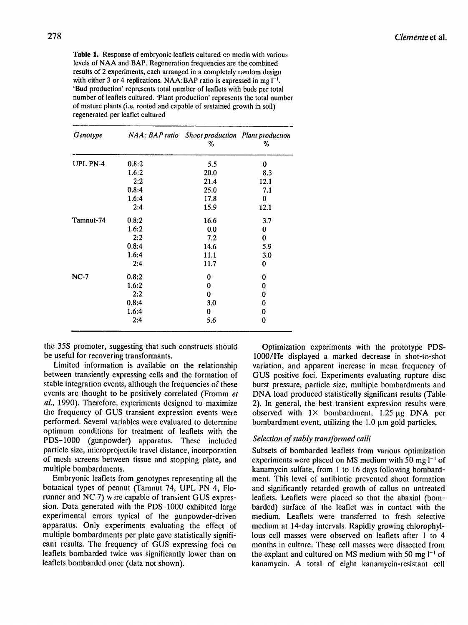Table **1.** Response of embryonic leaflets cultured en media with various levels of NAA and BAP. Regeneration frequencies are the combined results of 2 experiments, each arranged in a completely random design with either 3 or 4 replications. NAA:BAP ratio is expressed in mg l<sup>-1</sup>. 'Bud production' represents total number of leaflets with buds per total number of leaflets cultured. 'Plant production' represents the total number of mature plants (i.e. rooted and capable of sustained growth in soil) regenerated per leaflet cultured

| Genotype        |       | NAA: BAP ratio Shoot production Plant production<br>℅ | ℅    |
|-----------------|-------|-------------------------------------------------------|------|
| <b>UPL PN-4</b> | 0.8:2 | 5.5                                                   | 0    |
|                 | 1.6:2 | 20.0                                                  | 8.3  |
|                 | 2:2   | 21.4                                                  | 12.1 |
|                 | 0.8:4 | 25.0                                                  | 7.1  |
|                 | 1.6:4 | 17.8                                                  | 0    |
|                 | 2:4   | 15.9                                                  | 12.1 |
| Tamnut-74       | 0.8:2 | 16.6                                                  | 3.7  |
|                 | 1.6:2 | 0.0                                                   | 0    |
|                 | 2:2   | 7.2                                                   | 0    |
|                 | 0.8:4 | 14.6                                                  | 5.9  |
|                 | 1.6:4 | 11.1                                                  | 3.0  |
|                 | 2:4   | 11.7                                                  | 0    |
| $NC-7$          | 0.8:2 | 0                                                     | 0    |
|                 | 1.6:2 | 0                                                     | 0    |
|                 | 2:2   | 0                                                     | 0    |
|                 | 0.8:4 | 3.0                                                   | 0    |
|                 | 1.6:4 | 0                                                     | 0    |
|                 | 2:4   | 5.6                                                   | 0    |

the 35S promoter, suggesting that such constructs should be useful for recovering transformants.

Limited information is availabie on the relationship between transiently expressing cells and the formation of stable integration events, although the frequencies of these events are thought to be positively correlated (Fromm *et al.,* 1990). Therefore, experiments designed to maximize the frequency of GUS transient expression events were performed. Several variables were evaluated to determine optimum conditions for treatment of leaflets with the PDS-1000 (gunpowder) apparatus. These included particle size, microprojectile travel distance, incorporation of mesh screens between tissue and stopping plate, and multiple bombardments.

Embryonic leaflets from genotypes representing all the botanical types of peanut (Tamnut 74, UPL PN 4, Florunner and NC 7) were capable of transient GUS expression. Data generated with the PDS-1000 exhibited large experimental errors typical of the gunpowder-driven apparatus. Only experiments evaluating the effect of multiple bombardments per plate gave statistically significant results. The frequency of GUS expressing foci on leaflets bombarded twice was significantly lower than on leaflets bombarded once (data not shown).

Optimization experiments with the prototype PDS-1000/He displayed a marked decrease in shot-to-shot variation, and apparent increase in mean frequency of GUS positive foci. Experiments evaluating rupture disc burst pressure, particle size, multiple bombardments and DNA load produced statistically significant results (Table 2). In general, the best transient expression results were observed with  $1 \times$  bombardment, 1.25  $\mu$ g DNA per bombardment event, utilizing the  $1.0 \mu$ m gold particles.

### **Selection of stably transformed calli**

Subsets of bombarded leaflets from various optimization experiments were placed on MS medium with 50 mg **1 - 1** of kanamycin sulfate, from 1 to 16 days following bombardment. This level of antibiotic prevented shoot formation and significantly retarded growth of callus on untreated leaflets. Leaflets were placed so that the abaxial (bombarded) surface of the leaflet was in contact with the medium. Leaflets were transferred to fresh selective medium at 14-day intervals. Rapidly growing chlorophyllous cell masses were observed on leaflets after 1 to 4 months in culture. These cell masses were dissected from the explant and cultured on MS medium with 50 mg  $I^{-1}$  of kanamycin. A total of eight kanamycin-resistant cell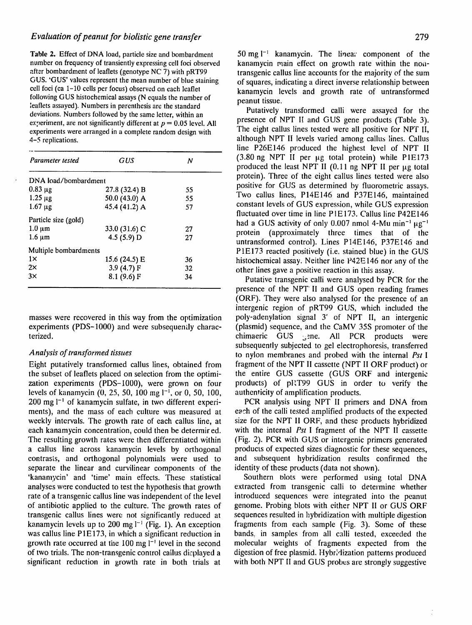Table 2. Effect of DNA load, particle size and bombardment number on frequency of transiently expressing cell foci observed after bombardment of leaflets (genotype NC 7) with  $pRT99$ GUS. 'GUS' values represent the mean number of blue staining cell foci (ca 1-10 cells per focus) observed on each leaflet following GUS histochemical assays (N equals the number of leaflets assayed). Numbers in parenthesis are the standard deviations. Numbers followed by the same letter, within an experiment, are not significantly different at  $p = 0.05$  level. All experiments were arranged in a complete random design with 4-5 replications.

| Parameter tested      | GUS           | Ν  |  |
|-----------------------|---------------|----|--|
| DNA load/bombardment  |               |    |  |
| $0.83 \mu g$          | 27.8 (32.4) B | 55 |  |
| $1.25 \mu$ g          | 50.0 (43.0) A | 55 |  |
| $1.67 \mu g$          | 45.4 (41.2) A | 57 |  |
| Particle size (gold)  |               |    |  |
| $1.0 \mu m$           | 33.0 (31.6) C | 27 |  |
| $1.6 \mu m$           | 4.5 $(5.9)$ D | 27 |  |
| Multiple bombardments |               |    |  |
| $1\times$             | 15.6 (24.5) E | 36 |  |
| $2\times$             | 3.9 $(4.7)$ F | 32 |  |
| 3x                    | 8.1 (9.6) F   | 34 |  |

masses were recovered in this way from the optimization experiments (PDS-1000) and were subsequently characterized.

### *Analysis of transformed tissues*

Eight putatively transformed callus lines, obtained from the subset of leaflets placed on selection from the optimization experiments (PDS-1000), were grown on four levels of kanamycin (0, 25, 50, 100 mg  $1^{-1}$ , or 0, 50, 100, 200 mg **1'**of kanamycin sulfate, in two different experiments), and the mass of each culture was measured at weekly intervals. The growth rate of each callus line, at each kanamycin concentration, could then be determired. The resulting growth rates were then differentiated within a callus line across kanamycin levels by orthogonal contrasts, and orthogonal polynomials were used to separate the linear and curvilinear components of the 'kanamycin' and 'time' main effects. These statistical analyses were conducted to test the hypothesis that growth rate of a transgenic callus line was independent of the level of antibiotic applied to the culture. The growth rates of transgenic callus lines were not significantly reduced at kanamycin levels up to 200 mg  $I^{-1}$  (Fig. 1). An exception was callus line P1E173, in which a significant reduction in growth rate occurred at the  $100 \text{ mg } l^{-1}$  level in the second of two trials. The non-transgenic control callus displayed a significant reduction in growth rate in both trials at

50 mg l<sup>-1</sup> kanamycin. The linear component of the kanamycin main effect on growth rate within the nontransgenic callus line accounts for the majority of the sum of squares, indicating a direct inverse relationship between kanamycin levcls and growth rate of untransformed peanut tissue.

Putatively transformed calli were assayed for the<br>presence of NPT II and CUS case resolute (Table 2) presence of NPT II and GUS gene products (Table 3). The eight callus lines tested were all positive for NPT II, although NPT II levels varied among callus lines. Callus line P26E146 produced the highest level of NPT II (3.80 ng NPT II per **pig** total protein) while **PIE173**  produced the least NPT II  $(0.11 \text{ ng NPT II per  $\mu$ g total$ protein). Three of the eight callus lines tested were also positive for GUS as determined by fluorometric assays. Two callus lines, P14EI46 and P37E146, maintained constant levels of GUS expression, while GUS expression fluctuated over time in line P1E173. Callus line P42E146 had a GUS activity of only 0.007 nmol 4-Mu min<sup>-1</sup>  $\mu$ g<sup>-1</sup> protein (approximately three times that of the untransformed control). Lines P14E146, P37E146 and P1E173 reacted positively (i.e. stained blue) in the GUS histochemical assay. Neither line P42E 146 nor any of the other lines gave a positive reaction in this assay.

Putative transgenic calli were analysed by PCR for the presence of the NPT II and GUS open reading frames (ORF). They were also analysed for the presence of an intergenic region of pRT99 GUS, which included the poly-adenylation signal 3' of NPT II, an intergenic (plasmid) sequence, and the CaMV 35S promoter of the chimaeric GUS gene. All PCR products were subsequently subjected to gel electrophoresis, transferred to nylon membranes and probed with the internal *Pst I*  fragment of the NPT II cassette (NPT II ORF product) or the entire GUS cassette (GUS ORF and intergenic products) of pRT99 GUS in order to verify the authenticity of amplification products.

PCR analysis using NPT II primers and DNA from each of the calli tested amplified products of the expected size for the NPT II ORF, and these products hybridized with the internal *Pst* I fragment of the NPT II cassette (Fig. 2). PCR with GUS or intergenic primers generated products of expected sizes diagnostic for these sequences, and subsequent hybridization results confirmed the identity of these products (data not shown).

Southern blots were performed using total DNA extracted from transgenic calli to determine whether introduced sequences were integrated into the peanut genome. Probing blots with either NPT II or GUS ORF sequences resulted in hybridization with multiple digestion fragments from each sample (Fig. 3). Some of these bands, in samples from all calli tested, exceeded the molecular weights of fragments expected from the digestion of free plasmid. Hybridization patterns produced with both NPT II and GUS probes are strongly suggestive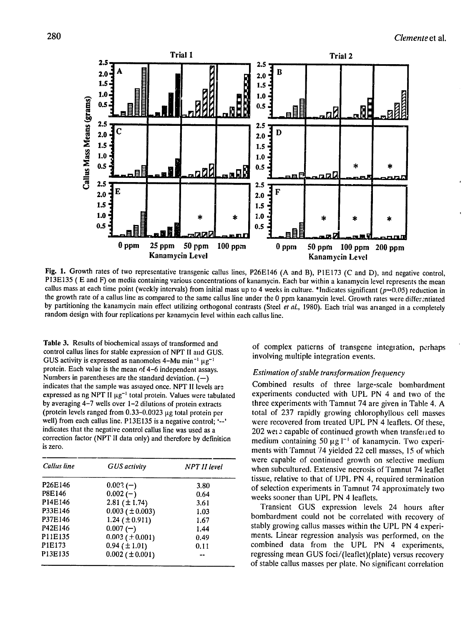

**Fig. 1.** Growth rates of two representative transgenic callus lines, P26E146 (A and B), P1E173 **(C** and D), and negative control, P13E135 ( E and F) on media containing various concentrations of kanamycin. Each bar within a kanamycin level represents the mean callus mass at each time point (weekly intervals) from initial mass up to 4 weeks in culture. \*Indicates significant ( $p=0.05$ ) reduction in the growth rate of a callus line as compared to the same callus line under the 0 ppm kanamycin level. Growth rates were differentiated by partitioning the kanamycin main effect utilizing orthogonal contrasts (Steel et *al.,* 1980). Each trial was arianged in a completely random design with four replications per kanamycin level within each callus line.

Table 3. Results of biochemical assays of transformed and control callus lines for stable expression of NPT **1I**and GUS. GUS activity is expressed as nanomoles  $4-Mu$  min<sup>-1</sup>  $\mu\sigma^{-1}$ protein. Each value is the mean of 4-6 independent assays. Numbers in parentheses are the standard deviation. **(-)** indicates that the sample was assayed once. NPT II levels are expressed as ng NPT II  $\mu$ g<sup>-1</sup> total protein. Values were tabulated by averaging 4-7 wells over 1-2 dilutions of protein extracts (protein levels ranged from  $0.33-0.0023$   $\mu$ g total protein per well) from each callus line. P13E135 is a negative control; '--' indicates that the negative control callus line was used as a correction factor (NPT **11**data only) and therefore by definition is zero.

| Callus line                      | <b>GUS</b> activity     | <b>NPT II</b> level |  |
|----------------------------------|-------------------------|---------------------|--|
| P <sub>26</sub> E <sub>146</sub> | $0.002(-)$              | 3.80                |  |
| P8E146                           | $0.002(-)$              | 0.64                |  |
| P14E146                          | 2.81 $(\pm 1.74)$       | 3.61                |  |
| P33E146                          | $0.003$ ( $\pm 0.003$ ) | 1.03                |  |
| P37E146                          | 1.24 ( $\pm$ 0.911)     | 1.67                |  |
| P42E146                          | $0.007(-)$              | 1.44                |  |
| P11E135                          | $0.003$ ( $\pm 0.001$ ) | 0.49                |  |
| P1E173                           | $0.94 \ (\pm 1.01)$     | 0.11                |  |
| P13E135                          | $0.002$ ( $\pm$ 0.001)  |                     |  |

of complex patterns of transgene integration, perhaps involving multiple integration events.

### Estimation of stable transformation frequency

Combined results of three large-scale bombardment experiments conducted with UPL PN 4 and two of the three experiments with Tamnut 74 are given in Table 4. A total of 237 rapidly growing chlorophyllous cell masses were recovered from treated UPL PN 4 leaflets. Of these, 202 wei.2 capable of continued growth when transferred to medium containing 50  $\mu$ g  $I^{-1}$  of kanamycin. Two experiments with Tamnut 74 yielded 22 cell masses, 15 of which were capable of continued growth on selective medium when subcultured. Extensive necrosis of Tamnut 74 leaflet tissue, relative to that of **UPL** PN 4, required termination of selection experiments in Tamnut 74 approximately two weeks sooner than UPL PN 4 leaflets.

Transient GUS expression levels 24 hours after bombardment could not be correlated with recovery of stably growing callus masses within the UPL PN 4 experiments. Linear regression analysis was performed, on the combined data from the UPL PN 4 experiments, regressing mean GUS foci/(leaflet)(plate) versus recovery of stable callus masses per plate. No significant correlation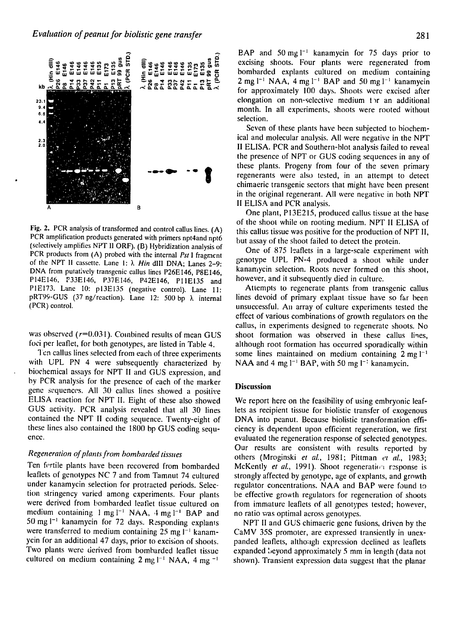

Fig. 2. PCR analysis of transformed and control callus lines. (A) PCR amplification products generated with primers npt4and npt6 (selectively amplifies NPT I1ORF). (B) Hybridization analysis of PCR products from (A) probed with the internal Pst I fragment of the NPT II cassette. Lane 1:  $\lambda$  Hin dIII DNA; Lanes 2-9: DNA from putatively transgenic callus lines P26EI46, P8E146, P14EI46, P33E146, P37E146, P42E146, **PlIE135** and PIE173. Lane 10: p13E135 (negative control). Lane **11:**  pRT99-GUS (37 ng/reaction). Lane 12: 500 bp **X** internal (PCR) control,

was observed  $(r=0.031)$ . Combined results of mean GUS foci per leaflet, for both genotypes, are listed in Table 4.

Ten callus lines selected from each of three experiments with UPL PN 4 were subsequently characterized by biochemical assays for NPT II and GUS expression, and by PCR analysis for the presence of each of the marker gene sequences. All 30 callus lines showed a positive ELISA reaction for NPT II. Eight of these also showed GUS activity. PCR analysis revealed that all 30 lines contained the NPT II coding sequence. Twenty-eight of these lines also contained the 1800 bp GUS coding sequence.

### Regeneration of plants from bombarded *tissues*

Ten fertile plants have been recovered from bombarded leaflets of genotypes NC 7 and from Tamnut 74 cultured under kanamycin selection for protracted periods. Selection stringency varied among experiments. Four plants were derived from bombarded leaflet tissue cultured on medium containing 1 mg <sup>1-1</sup> NAA, 4 mg <sup>1-1</sup> BAP and 50 mg <sup>1-1</sup> kanamycin for 72 days. Responding explants were transferred to medium containing 25 mg  $I^{-1}$  kanamycin for an additional 47 days, prior to excision of shoots. Two plants were derived from bombarded leaflet tissue cultured on medium containing  $2 \text{ mg } l^{-1} \text{ NAA}$ ,  $4 \text{ mg } l^{-1}$ 

HAP and 50 mg **1-** kanamycin for 75 days prior to excising shoots. Four plants were regenerated from bombarded explants cultured on medium containing 2 mg <sup>1-1</sup> NAA, 4 mg <sup>1-1</sup> BAP and 50 mg <sup>1-1</sup> kanamycin for approximately 100 days. Shoots were excised after elongation on non-selective medium tor an additional month. In all experiments, shoots were rooted without selection.

Seven of these plants have been subjected to biochemical and molecular analysis. All were negative in the NPT II ELISA. PCR and Southern-blot analysis failed to reveal the presence of NPT or GUS coding sequences in any of these plants. Progeny from four of the seven primary regenerants were also tested, in an attempt to detect chimaeric transgenic sectors that might have been present in the original regenerant. All were negative in both NPT II ELISA and PCR analysis.

One plant, P13E215, produced callus tissue at the base of the shoot while on rooting medium. NPT II ELISA of this callus tissue was positive for the production of NPT II, but assay of the shoot failed to detect the protein.

One of 875 leaflets in a large-scale experiment with genotype UPL PN-4 produced a shoot while under kanamycin selection. Roots never formed on this shoot, however, and it subsequently died in culture.

Attempts to regenerate plants from transgenic callus lines devoid of primary explant tissue have so far been unsuccessful. An array of culture experiments tested the effect of various combinations of growth regulators on the callus, in experiments designed to regenerate shoots. No shoot formation was observed in these callus lines, although root formation has occurred sporadically within some lines maintained on medium containing 2 mg **I-**NAA and  $4 \text{ mg } l^{-1}$  BAP, with  $50 \text{ mg } l^{-1}$  kanamycin.

### **Discussion**

We report here on the feasibility of using embryonic leaflets as recipient tissue for biolistic transfer of exogenous DNA into peanut. Because biolistic transformation efficiency is dependent upon efficient regeneration, we first evaluated the regeneration response of selected genotypes. Our results are consistent with results reported by others (Mroginski *et al.,* 1981; Pittman **ei** *al.,* 1983; McKently *et al.*, 1991). Shoot regeneration response is strongly affected by genotype, age of explants, and growth regulator concentrations. NAA and BAP were found to be effective growth regulators for regeneration of shoots from immature leaflets of all genotypes tested; however, no ratio was optimal across genotypes.

NPT II and GUS chimaeric gene fusions, driven by the CaMV 35S promoter, are expressed transiently in unexpanded leaflets, although expression declined as leaflets expanded beyond approximately 5 mm in length (data not shown). Transient expression data suggest that the planar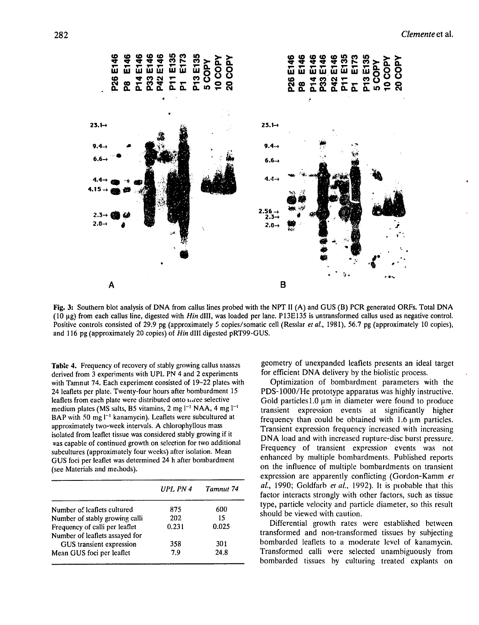

**Fig. 3:** Southern blot analysis of **DNA** from callus lines probed with the **NPT 11(A)** and GUS (B) PCR generated ORFs. Total DNA (10 gig) from each callus line, digested with *Hin* dIII, was loaded per lane. P13E135 is untransformed callus used as negative control. Positive controls consisted of 29.9 pg (approximately 5 copies/somatic cell (Resslar *et al.,* 1981), 56.7 pg (approximately **10** copies), and 116 pg (approximately 20 copies) of *Hin* **dill** digested pRT99-GUS.

medium plates (MS salts, B5 vitamins, 2 mg l<sup>-1</sup> NAA, 4 mg l<sup>-1</sup> **Table** 4. Frequency of recovery of stably growing callus masses derived from 3 experiments with UPL PN 4 and 2 experiments with Tamnut 74. Each experiment consisted of 19-22 plates with 24 leaflets per plate. Twenty-four hours after bombardment 15 leaflets from each plate were distributed onto urree selective BAP with 50 mg <sup> $-1$ </sup> kanamycin). Leaflets were subcultured at approximately two-week intervals. A chlorophyllous mass isolated from leaflet tissue was considered stably growing if it as capable of continued growth on selection for two additional subcultures (approximately four weeks) after isolation. Mean GUS foci per leaflet was determined 24 h after bombardment (see Materials and methods).

|                                | $I$ $PI$ , $PN$ 4 | Tamnut 74 |
|--------------------------------|-------------------|-----------|
| Number of leaflets cultured    | 875               | 600       |
| Number of stably growing calli | 202               | 15        |
| Frequency of calli per leaflet | 0.231             | 0.025     |
| Number of leaflets assayed for |                   |           |
| GUS transient expression       | 358               | 301       |
| Mean GUS foci per leaflet      | 7.9               | 24.8      |

geometry of unexpanded leaflets presents an ideal target for efficient DNA delivery by the biolistic process.

Optimization of bombardment parameters with the PDS-1000/He prototype apparatus was highly instructive. Gold particles  $1.0 \mu m$  in diameter were found to produce transient expression events at significantly higher frequency than could be obtained with  $1.6 \mu m$  particles. Transient expression frequency increased with increasing<br>DNA load and with increased runture-disc burst pressure *DNA* load and with increased rupture-disc burst pressure. Frequency of transient expression events was not enhanced by multiple bombardments. Published reports on the influence of multiple bombardments on transient expression are apparently conflicting (Gordon-Kamm *et al.,* 1990; Goldfarb *et al.,* 1992). It is piobable that this factor interacts strongly with other factors, such as tissue type, particle velocity and particle diameter, so this result should be viewed with caution.

Differential growth rates were established between transformed and non-transformed tissues by subjecting bombarded leaflets to a moderate level of kanamycin. Transformed calli were selected unambiguously from bombarded tissues by culturing treated explants on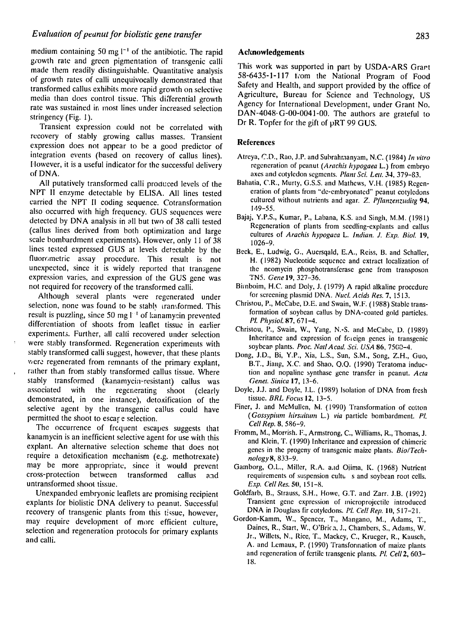### *Evaluation of peanut for biolistic gene transfer* **<b>***particularly example to the contract of the contract of the contract of the contract of the contract of the contract of the contract of the contract of the contract of*

medium containing 50 mg **1-'** of the antibiotic. The rapid g'owth rate and green pigmentation of transgenic calli made them readily distinguishable. Quantitative analysis of growth rates of calli unequivocally demonstrated that transformed callus exhibits more rapid growth on selective media than does control tissue. This differential growth rate was sustained in most lines under increased selection stringency (Fig. 1).

Transient expression could not be correlated with recovery of stably growing callus masses. Transient expression does not appear to be a good predictor of integration events (based on recovery of callus lines). However, it is a useful indicator for the successful delivery of DNA.

All putatively transformed calli produced levels of the NPT II enzyme detectable by ELISA. All lines tested carried the NPT **1I**coding sequence. Cotransformation also occurred with high frequency. GUS sequences were detected by DNA analysis in all but two of 38 calli tested (callus lines derived from both optimization and large scale bombardment experiments). However, only 11 of 38 lines tested expressed GUS at levels detectable by the fluorometric assay procedure. This result is not unexpected, since it is widely reported that transgene expression varies, and expression of the GUS gene was not required for recovery of the transformed calli.

Although several plants were regenerated under selection, none was found to be stably transformed. This result is puzzling, since 50 mg <sup>1</sup> <sup>1</sup> of kanamy in prevented differentiation of shoots from leaflet tissue in earlier experiments. Further, all calli recovered under selection were stably transformed. Regeneration experiments with stably transformed calli suggest, however, that these plants were regenerated from remnants of the primary explant, rather than from stably transformed callus tissue. Where stably transformed (kanamycin-resistant) callus was associated with the regenerating shoot (clearly demonstrated, in one instance), detoxification of the selective agent by the transgenic callus could have permitted the shoot to escar e selection.

The occurrence of frequent escapes suggests that kanamycin is an inefficient selective agent for use with this explant. An alternative selection scheme that does not require a detoxification mechanism (e.g. methotrexate) may be more appropriate, since it would prevent cross-protection between transformed callus **and**  untransformed shoot tissue.

Unexpanded embryonic leaflets are promising recipient explants for biolistic DNA delivery to peanut. Successful recovery of transgenic plants from this tissue, however, may require development of more efficient culture, selection a and calli.

### Acknowledgements

This work was supported in part by USDA-ARS Grart **58-6435-1-117** tom the National Program of Food 58-6435-1-117 from the National Program of Food<br>Safety and Health, and support provided by the office of af eventual control and support provided by the office of<br>A *grigulture* Dureau, for Science and Technology, US Agriculture, Bureau for Science and Technology, US<br>Agency for International Development, under Grant No. Agency for International Development, under Grant No.<br>DAN-4048-G-00-0041-00. The authors are grateful to Dr R. Topfer for the gift of pRT **99 GUS.** 

### **References**

- Atreya, C.D., Rao, **J.P.** and Subrahmanyam, N.C. (1984) *In vitro*  regeneration of peanut *(Arachis hypogaea* L.) from embryo axes and cotyledon segments. Plant Sci. Lett. 34, 379-83.
- Bahatia, C.R., Murty, G.S.S. and Mathews, V.H. (1985) Regeneration of plants from "de-embryonated" peanut cotyledons cultured without nutrients and agar. *Z. Pflanzenzuditg* 94, 149-55.
- Bajaj, Y.P.S., Kumar, P., Labana, K.S. and Singh, M.M. (1981) Regeneration of plants from seedling-explants and callus cultures of *Arachis hypogaea L. Indian.* **J.***Exp. Biol.* **19,**  1026-9.
- Beck, E., Ludwig, **G.,** Auersqald, E.A., Reiss, B. and Schaller, H. (1982) Nucleotide sequence and extract localization of the neomycin phosphotransferase gene from transposon TN5. *Gene* **19,** 327-36.
- Birnboim, H.C. and Doly, J. (1979) A rapid alkaline procedure for screening plasmid DNA. *Nuc. Acids Res.* 7, 1513.
- Christou, P., McCabe, D.E. and Swain, W.F. (1988) Stable transformation of soybean callus by DNA-coated gold particles.<br>*PI. Physiol.* **87,** 671-4.
- *P.Pyil* 7 714 Christou, P., Swain, W., Yang, **N.-S.** and McCabe, D. (1989) Inheritance and expression of fc. cign genes in transgenic soybean plants. Proc. Natl Acad. Sci. USA 86, 7500-4.
- Dong, J.D., Bi, Y.P., Xia, L.S., Sun, S.M., Song, Z.H., Guo, B.T., Jiang, X.C. and Shao, **O.Q.** (1990) Teratoma induction and nopaline synthase gene transfer in peanut. *Acta*  Genet. Sinica **17, 13-6.**
- Doyle, J.J. and Doyle, I.L. (1989) Isolation of DNA from fresh tissue. *BRL Focus 12,* 13-5.
- Finer, J. and McMullen, **NI.** (1990) Transformation of cotton *(Gossypium hirsuiturn* L.) *via* particle bombardment. *P.*
- Fromm, M., Morrish, F., Armstrong, C., Williams, R., Thomas, J. and Klein, T. (1990) Inheritance and expression of chimeric genes in the progeny of transgenic maize plants. *Bio/Technology8, 833-9.*
- Gamborg, O.L., Miller, R.A. aaid Oiirna, **K.**(1968) Nutrient requirements of suspension cultu s and soybean root cells. *Exp.* Cell *Res. 50,* 151-8.
- Goldfarb, B., Strauss, **S.H.,** Howe, G.T. and Zarr. J.B. (1992) Transient gene expression of inicroprojectile introduced DNA in Douglass fir cotyledons. Pl. Cell Rep. 10, 517-21.
- Gordon-Kamm, W., Spencer, T., Mangano, M., Adams, T., Daines, R., Start, W., O'Brica, J., Chambers, S., Adams, W. Jr., Willets, N., Rice, T., Mackey, C., Krueger, R., Kausch, A. and Lemaux, P. (1990) Transformation of maize plants and regeneration of fertile transgenic plants. PL.*Cell2,* 603 18.